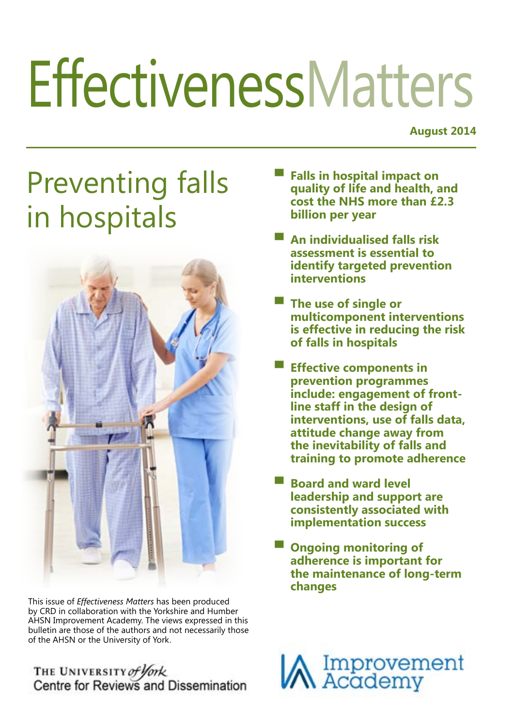# **EffectivenessMatters**

**August 2014**

## Preventing falls in hospitals



This issue of *Effectiveness Matters* has been produced by CRD in collaboration with the Yorkshire and Humber AHSN Improvement Academy. The views expressed in this bulletin are those of the authors and not necessarily those of the AHSN or the University of York.

### THE UNIVERSITY of York<br>Centre for Reviews and Dissemination

- **▀ Falls in hospital impact on quality of life and health, and cost the NHS more than £2.3 billion per year**
- **▀ An individualised falls risk assessment is essential to identify targeted prevention interventions**
- **▀ The use of single or multicomponent interventions is effective in reducing the risk of falls in hospitals**
- **▀ Effective components in prevention programmes include: engagement of frontline staff in the design of interventions, use of falls data, attitude change away from the inevitability of falls and training to promote adherence**
- **▀ Board and ward level leadership and support are consistently associated with implementation success**
- **Ongoing monitoring of adherence is important for the maintenance of long-term changes**

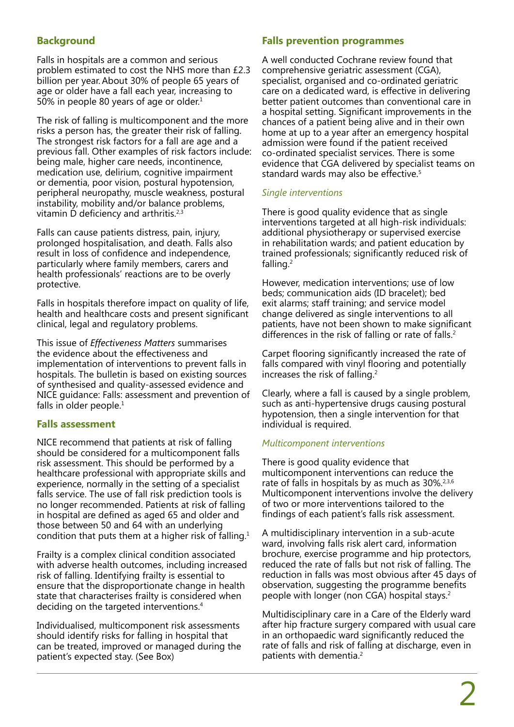#### **Background**

Falls in hospitals are a common and serious problem estimated to cost the NHS more than £2.3 billion per year.About 30% of people 65 years of age or older have a fall each year, increasing to 50% in people 80 years of age or older.<sup>1</sup>

The risk of falling is multicomponent and the more risks a person has, the greater their risk of falling. The strongest risk factors for a fall are age and a previous fall. Other examples of risk factors include: being male, higher care needs, incontinence, medication use, delirium, cognitive impairment or dementia, poor vision, postural hypotension, peripheral neuropathy, muscle weakness, postural instability, mobility and/or balance problems, vitamin D deficiency and arthritis.<sup>2,3</sup>

Falls can cause patients distress, pain, injury, prolonged hospitalisation, and death. Falls also result in loss of confidence and independence, particularly where family members, carers and health professionals' reactions are to be overly protective.

Falls in hospitals therefore impact on quality of life, health and healthcare costs and present significant clinical, legal and regulatory problems.

This issue of *Effectiveness Matters* summarises the evidence about the effectiveness and implementation of interventions to prevent falls in hospitals. The bulletin is based on existing sources of synthesised and quality-assessed evidence and NICE guidance: Falls: assessment and prevention of falls in older people. $1$ 

#### **Falls assessment**

NICE recommend that patients at risk of falling should be considered for a multicomponent falls risk assessment. This should be performed by a healthcare professional with appropriate skills and experience, normally in the setting of a specialist falls service. The use of fall risk prediction tools is no longer recommended. Patients at risk of falling in hospital are defined as aged 65 and older and those between 50 and 64 with an underlying condition that puts them at a higher risk of falling.1

Frailty is a complex clinical condition associated with adverse health outcomes, including increased risk of falling. Identifying frailty is essential to ensure that the disproportionate change in health state that characterises frailty is considered when deciding on the targeted interventions.4

Individualised, multicomponent risk assessments should identify risks for falling in hospital that can be treated, improved or managed during the patient's expected stay. (See Box)

#### **Falls prevention programmes**

A well conducted Cochrane review found that comprehensive geriatric assessment (CGA), specialist, organised and co-ordinated geriatric care on a dedicated ward, is effective in delivering better patient outcomes than conventional care in a hospital setting. Significant improvements in the chances of a patient being alive and in their own home at up to a year after an emergency hospital admission were found if the patient received co-ordinated specialist services. There is some evidence that CGA delivered by specialist teams on standard wards may also be effective.<sup>5</sup>

#### *Single interventions*

There is good quality evidence that as single interventions targeted at all high-risk individuals: additional physiotherapy or supervised exercise in rehabilitation wards; and patient education by trained professionals; significantly reduced risk of falling. $<sup>2</sup>$ </sup>

However, medication interventions; use of low beds; communication aids (ID bracelet); bed exit alarms; staff training; and service model change delivered as single interventions to all patients, have not been shown to make significant differences in the risk of falling or rate of falls.<sup>2</sup>

Carpet flooring significantly increased the rate of falls compared with vinyl flooring and potentially increases the risk of falling.2

Clearly, where a fall is caused by a single problem, such as anti-hypertensive drugs causing postural hypotension, then a single intervention for that individual is required.

#### *Multicomponent interventions*

There is good quality evidence that multicomponent interventions can reduce the rate of falls in hospitals by as much as 30%.<sup>2,3,6</sup> Multicomponent interventions involve the delivery of two or more interventions tailored to the findings of each patient's falls risk assessment.

A multidisciplinary intervention in a sub-acute ward, involving falls risk alert card, information brochure, exercise programme and hip protectors, reduced the rate of falls but not risk of falling. The reduction in falls was most obvious after 45 days of observation, suggesting the programme benefits people with longer (non CGA) hospital stays.2

Multidisciplinary care in a Care of the Elderly ward after hip fracture surgery compared with usual care in an orthopaedic ward significantly reduced the rate of falls and risk of falling at discharge, even in patients with dementia.<sup>2</sup>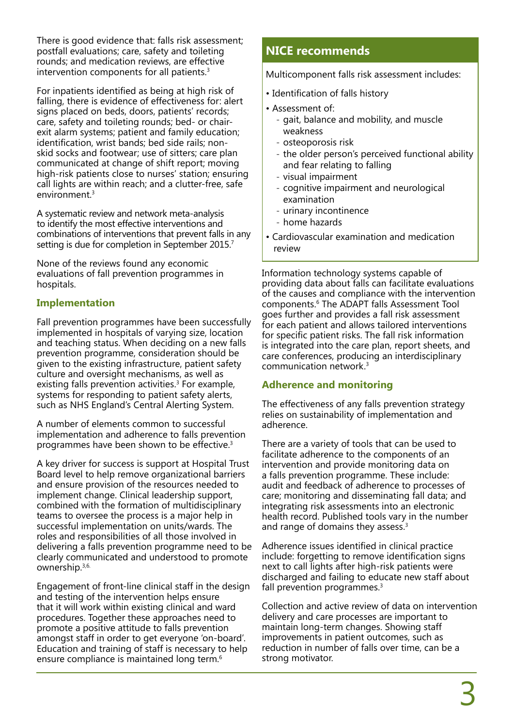There is good evidence that: falls risk assessment; postfall evaluations; care, safety and toileting rounds; and medication reviews, are effective intervention components for all patients.3

For inpatients identified as being at high risk of falling, there is evidence of effectiveness for: alert signs placed on beds, doors, patients' records; care, safety and toileting rounds; bed- or chairexit alarm systems; patient and family education; identification, wrist bands; bed side rails; nonskid socks and footwear; use of sitters; care plan communicated at change of shift report; moving high-risk patients close to nurses' station; ensuring call lights are within reach; and a clutter-free, safe environment.<sup>3</sup>

A systematic review and network meta-analysis to identify the most effective interventions and combinations of interventions that prevent falls in any setting is due for completion in September 2015.<sup>7</sup>

None of the reviews found any economic evaluations of fall prevention programmes in hospitals.

#### **Implementation**

Fall prevention programmes have been successfully implemented in hospitals of varying size, location and teaching status. When deciding on a new falls prevention programme, consideration should be given to the existing infrastructure, patient safety culture and oversight mechanisms, as well as existing falls prevention activities.<sup>3</sup> For example, systems for responding to patient safety alerts, such as NHS England's Central Alerting System.

A number of elements common to successful implementation and adherence to falls prevention programmes have been shown to be effective.3

A key driver for success is support at Hospital Trust Board level to help remove organizational barriers and ensure provision of the resources needed to implement change. Clinical leadership support, combined with the formation of multidisciplinary teams to oversee the process is a major help in successful implementation on units/wards. The roles and responsibilities of all those involved in delivering a falls prevention programme need to be clearly communicated and understood to promote ownership.3,6.

Engagement of front-line clinical staff in the design and testing of the intervention helps ensure that it will work within existing clinical and ward procedures. Together these approaches need to promote a positive attitude to falls prevention amongst staff in order to get everyone 'on-board'. Education and training of staff is necessary to help ensure compliance is maintained long term.6

#### **NICE recommends**

Multicomponent falls risk assessment includes:

- Identification of falls history
- Assessment of:
	- gait, balance and mobility, and muscle weakness
	- ̵ osteoporosis risk
	- the older person's perceived functional ability and fear relating to falling
	- visual impairment
	- cognitive impairment and neurological examination
	- urinary incontinence
	- home hazards
- Cardiovascular examination and medication review

Information technology systems capable of providing data about falls can facilitate evaluations of the causes and compliance with the intervention components.6 The ADAPT falls Assessment Tool goes further and provides a fall risk assessment for each patient and allows tailored interventions for specific patient risks. The fall risk information is integrated into the care plan, report sheets, and care conferences, producing an interdisciplinary communication network.3

#### **Adherence and monitoring**

The effectiveness of any falls prevention strategy relies on sustainability of implementation and adherence.

There are a variety of tools that can be used to facilitate adherence to the components of an intervention and provide monitoring data on a falls prevention programme. These include: audit and feedback of adherence to processes of care; monitoring and disseminating fall data; and integrating risk assessments into an electronic health record. Published tools vary in the number and range of domains they assess.<sup>3</sup>

Adherence issues identified in clinical practice include: forgetting to remove identification signs next to call lights after high-risk patients were discharged and failing to educate new staff about fall prevention programmes.<sup>3</sup>

Collection and active review of data on intervention delivery and care processes are important to maintain long-term changes. Showing staff improvements in patient outcomes, such as reduction in number of falls over time, can be a strong motivator.